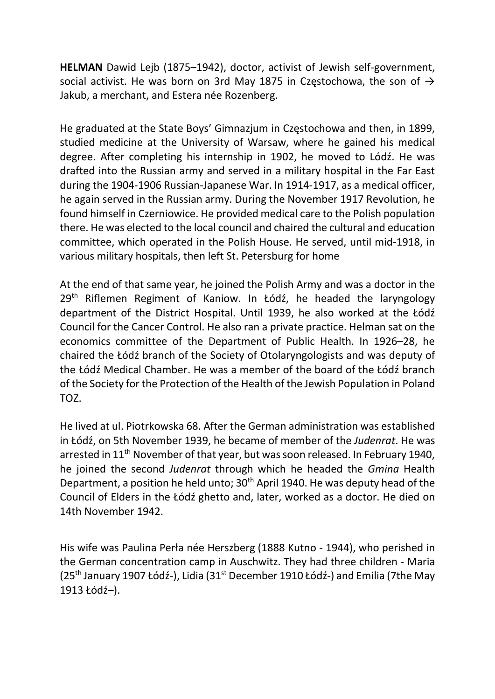HELMAN Dawid Lejb (1875–1942), doctor, activist of Jewish self-government, social activist. He was born on 3rd May 1875 in Częstochowa, the son of  $\rightarrow$ Jakub, a merchant, and Estera née Rozenberg.

He graduated at the State Boys' Gimnazjum in Częstochowa and then, in 1899, studied medicine at the University of Warsaw, where he gained his medical degree. After completing his internship in 1902, he moved to Lódź. He was drafted into the Russian army and served in a military hospital in the Far East during the 1904-1906 Russian-Japanese War. In 1914-1917, as a medical officer, he again served in the Russian army. During the November 1917 Revolution, he found himself in Czerniowice. He provided medical care to the Polish population there. He was elected to the local council and chaired the cultural and education committee, which operated in the Polish House. He served, until mid-1918, in various military hospitals, then left St. Petersburg for home

At the end of that same year, he joined the Polish Army and was a doctor in the  $29<sup>th</sup>$  Riflemen Regiment of Kaniow. In Łódź, he headed the laryngology department of the District Hospital. Until 1939, he also worked at the Łódź Council for the Cancer Control. He also ran a private practice. Helman sat on the economics committee of the Department of Public Health. In 1926–28, he chaired the Łódź branch of the Society of Otolaryngologists and was deputy of the Łódź Medical Chamber. He was a member of the board of the Łódź branch of the Society for the Protection of the Health of the Jewish Population in Poland TOZ.

He lived at ul. Piotrkowska 68. After the German administration was established in Łódź, on 5th November 1939, he became of member of the Judenrat. He was arrested in  $11<sup>th</sup>$  November of that year, but was soon released. In February 1940, he joined the second Judenrat through which he headed the Gmina Health Department, a position he held unto; 30th April 1940. He was deputy head of the Council of Elders in the Łódź ghetto and, later, worked as a doctor. He died on 14th November 1942.

His wife was Paulina Perła née Herszberg (1888 Kutno - 1944), who perished in the German concentration camp in Auschwitz. They had three children - Maria ( $25<sup>th</sup>$  January 1907 Łódź-), Lidia ( $31<sup>st</sup>$  December 1910 Łódź-) and Emilia (7the May 1913 Łódź–).